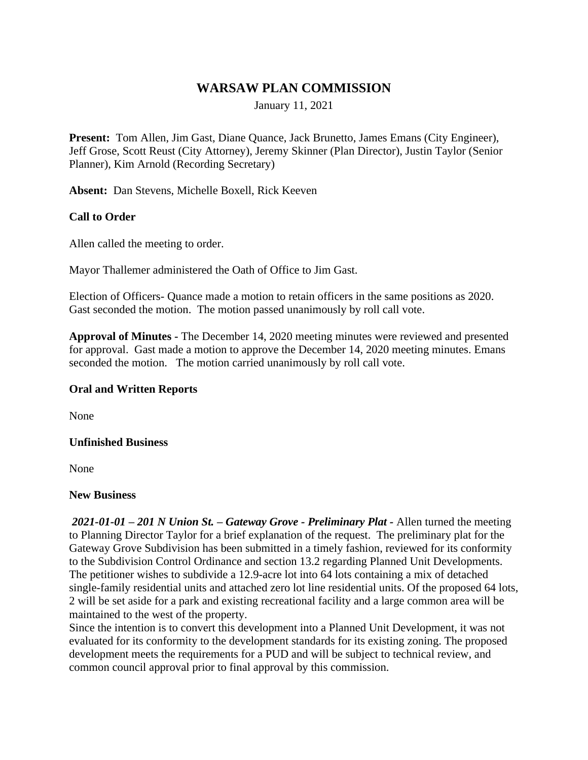# **WARSAW PLAN COMMISSION**

January 11, 2021

**Present:** Tom Allen, Jim Gast, Diane Quance, Jack Brunetto, James Emans (City Engineer), Jeff Grose, Scott Reust (City Attorney), Jeremy Skinner (Plan Director), Justin Taylor (Senior Planner), Kim Arnold (Recording Secretary)

**Absent:** Dan Stevens, Michelle Boxell, Rick Keeven

### **Call to Order**

Allen called the meeting to order.

Mayor Thallemer administered the Oath of Office to Jim Gast.

Election of Officers- Quance made a motion to retain officers in the same positions as 2020. Gast seconded the motion. The motion passed unanimously by roll call vote.

**Approval of Minutes -** The December 14, 2020 meeting minutes were reviewed and presented for approval. Gast made a motion to approve the December 14, 2020 meeting minutes. Emans seconded the motion. The motion carried unanimously by roll call vote.

### **Oral and Written Reports**

None

### **Unfinished Business**

None

#### **New Business**

*2021-01-01 – 201 N Union St. – Gateway Grove - Preliminary Plat -* Allen turned the meeting to Planning Director Taylor for a brief explanation of the request. The preliminary plat for the Gateway Grove Subdivision has been submitted in a timely fashion, reviewed for its conformity to the Subdivision Control Ordinance and section 13.2 regarding Planned Unit Developments. The petitioner wishes to subdivide a 12.9-acre lot into 64 lots containing a mix of detached single-family residential units and attached zero lot line residential units. Of the proposed 64 lots, 2 will be set aside for a park and existing recreational facility and a large common area will be maintained to the west of the property.

Since the intention is to convert this development into a Planned Unit Development, it was not evaluated for its conformity to the development standards for its existing zoning. The proposed development meets the requirements for a PUD and will be subject to technical review, and common council approval prior to final approval by this commission.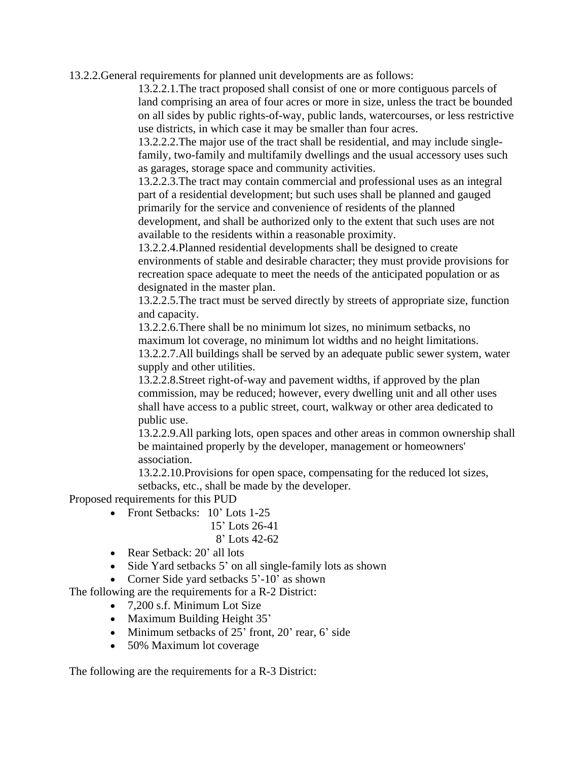13.2.2.General requirements for planned unit developments are as follows:

13.2.2.1.The tract proposed shall consist of one or more contiguous parcels of land comprising an area of four acres or more in size, unless the tract be bounded on all sides by public rights-of-way, public lands, watercourses, or less restrictive use districts, in which case it may be smaller than four acres.

13.2.2.2.The major use of the tract shall be residential, and may include singlefamily, two-family and multifamily dwellings and the usual accessory uses such as garages, storage space and community activities.

13.2.2.3.The tract may contain commercial and professional uses as an integral part of a residential development; but such uses shall be planned and gauged primarily for the service and convenience of residents of the planned development, and shall be authorized only to the extent that such uses are not available to the residents within a reasonable proximity.

13.2.2.4.Planned residential developments shall be designed to create environments of stable and desirable character; they must provide provisions for recreation space adequate to meet the needs of the anticipated population or as designated in the master plan.

13.2.2.5.The tract must be served directly by streets of appropriate size, function and capacity.

13.2.2.6.There shall be no minimum lot sizes, no minimum setbacks, no maximum lot coverage, no minimum lot widths and no height limitations. 13.2.2.7.All buildings shall be served by an adequate public sewer system, water supply and other utilities.

13.2.2.8.Street right-of-way and pavement widths, if approved by the plan commission, may be reduced; however, every dwelling unit and all other uses shall have access to a public street, court, walkway or other area dedicated to public use.

13.2.2.9.All parking lots, open spaces and other areas in common ownership shall be maintained properly by the developer, management or homeowners' association.

13.2.2.10.Provisions for open space, compensating for the reduced lot sizes, setbacks, etc., shall be made by the developer.

Proposed requirements for this PUD

- Front Setbacks: 10' Lots 1-25
	- 15' Lots 26-41
	- 8' Lots 42-62
- Rear Setback: 20' all lots
- Side Yard setbacks 5' on all single-family lots as shown
- Corner Side yard setbacks 5'-10' as shown

The following are the requirements for a R-2 District:

- 7,200 s.f. Minimum Lot Size
- Maximum Building Height 35'
- $\bullet$  Minimum setbacks of 25' front, 20' rear, 6' side
- 50% Maximum lot coverage

The following are the requirements for a R-3 District: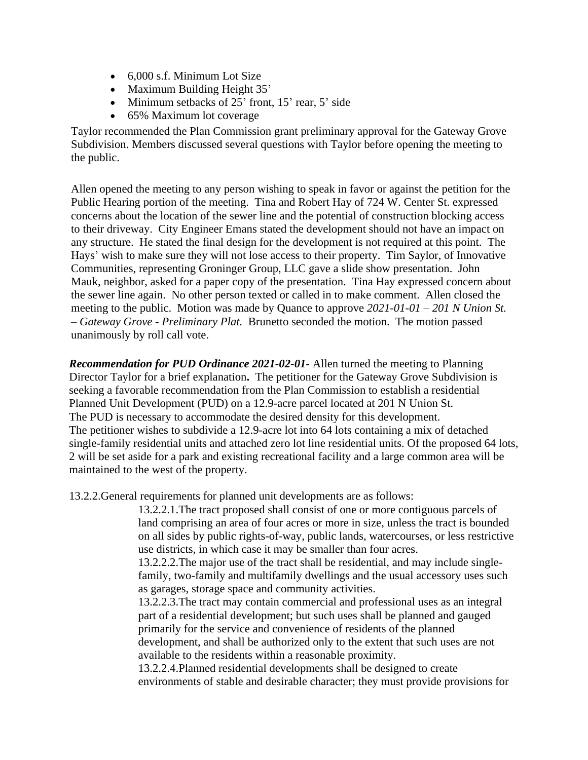- 6,000 s.f. Minimum Lot Size
- Maximum Building Height 35'
- $\bullet$  Minimum setbacks of 25' front, 15' rear, 5' side
- 65% Maximum lot coverage

Taylor recommended the Plan Commission grant preliminary approval for the Gateway Grove Subdivision. Members discussed several questions with Taylor before opening the meeting to the public.

Allen opened the meeting to any person wishing to speak in favor or against the petition for the Public Hearing portion of the meeting. Tina and Robert Hay of 724 W. Center St. expressed concerns about the location of the sewer line and the potential of construction blocking access to their driveway. City Engineer Emans stated the development should not have an impact on any structure. He stated the final design for the development is not required at this point. The Hays' wish to make sure they will not lose access to their property. Tim Saylor, of Innovative Communities, representing Groninger Group, LLC gave a slide show presentation. John Mauk, neighbor, asked for a paper copy of the presentation. Tina Hay expressed concern about the sewer line again. No other person texted or called in to make comment. Allen closed the meeting to the public. Motion was made by Quance to approve *2021-01-01 – 201 N Union St. – Gateway Grove - Preliminary Plat.* Brunetto seconded the motion. The motion passed unanimously by roll call vote.

*Recommendation for PUD Ordinance 2021-02-01-* Allen turned the meeting to Planning Director Taylor for a brief explanation**.** The petitioner for the Gateway Grove Subdivision is seeking a favorable recommendation from the Plan Commission to establish a residential Planned Unit Development (PUD) on a 12.9-acre parcel located at 201 N Union St. The PUD is necessary to accommodate the desired density for this development. The petitioner wishes to subdivide a 12.9-acre lot into 64 lots containing a mix of detached single-family residential units and attached zero lot line residential units. Of the proposed 64 lots, 2 will be set aside for a park and existing recreational facility and a large common area will be maintained to the west of the property.

13.2.2.General requirements for planned unit developments are as follows:

13.2.2.1.The tract proposed shall consist of one or more contiguous parcels of land comprising an area of four acres or more in size, unless the tract is bounded on all sides by public rights-of-way, public lands, watercourses, or less restrictive use districts, in which case it may be smaller than four acres.

13.2.2.2.The major use of the tract shall be residential, and may include singlefamily, two-family and multifamily dwellings and the usual accessory uses such as garages, storage space and community activities.

13.2.2.3.The tract may contain commercial and professional uses as an integral part of a residential development; but such uses shall be planned and gauged primarily for the service and convenience of residents of the planned development, and shall be authorized only to the extent that such uses are not available to the residents within a reasonable proximity.

13.2.2.4.Planned residential developments shall be designed to create environments of stable and desirable character; they must provide provisions for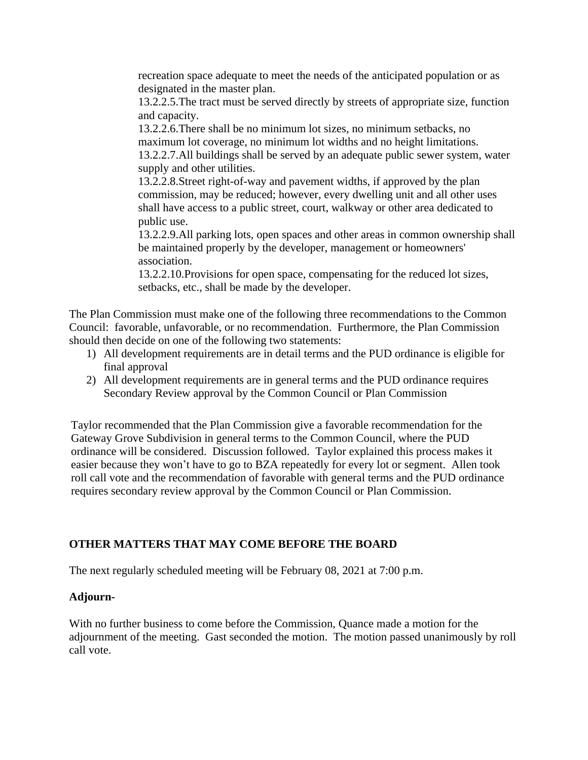recreation space adequate to meet the needs of the anticipated population or as designated in the master plan.

13.2.2.5.The tract must be served directly by streets of appropriate size, function and capacity.

13.2.2.6.There shall be no minimum lot sizes, no minimum setbacks, no maximum lot coverage, no minimum lot widths and no height limitations. 13.2.2.7.All buildings shall be served by an adequate public sewer system, water supply and other utilities.

13.2.2.8.Street right-of-way and pavement widths, if approved by the plan commission, may be reduced; however, every dwelling unit and all other uses shall have access to a public street, court, walkway or other area dedicated to public use.

13.2.2.9.All parking lots, open spaces and other areas in common ownership shall be maintained properly by the developer, management or homeowners' association.

13.2.2.10.Provisions for open space, compensating for the reduced lot sizes, setbacks, etc., shall be made by the developer.

The Plan Commission must make one of the following three recommendations to the Common Council: favorable, unfavorable, or no recommendation. Furthermore, the Plan Commission should then decide on one of the following two statements:

- 1) All development requirements are in detail terms and the PUD ordinance is eligible for final approval
- 2) All development requirements are in general terms and the PUD ordinance requires Secondary Review approval by the Common Council or Plan Commission

Taylor recommended that the Plan Commission give a favorable recommendation for the Gateway Grove Subdivision in general terms to the Common Council, where the PUD ordinance will be considered. Discussion followed. Taylor explained this process makes it easier because they won't have to go to BZA repeatedly for every lot or segment. Allen took roll call vote and the recommendation of favorable with general terms and the PUD ordinance requires secondary review approval by the Common Council or Plan Commission.

## **OTHER MATTERS THAT MAY COME BEFORE THE BOARD**

The next regularly scheduled meeting will be February 08, 2021 at 7:00 p.m.

### **Adjourn-**

With no further business to come before the Commission, Quance made a motion for the adjournment of the meeting. Gast seconded the motion. The motion passed unanimously by roll call vote.